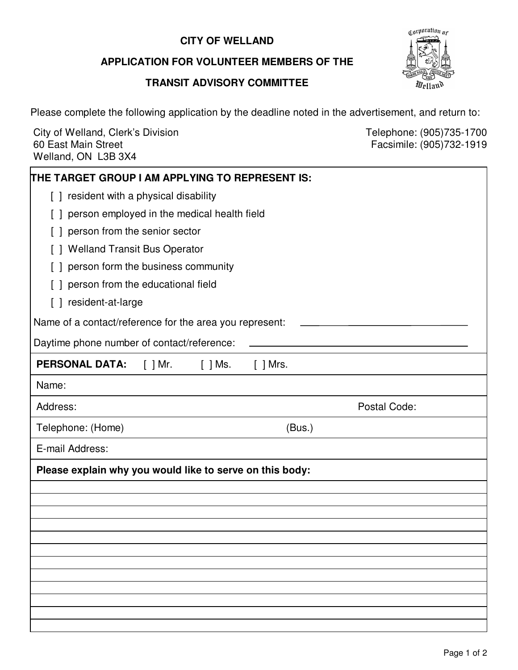## **CITY OF WELLAND**

## **APPLICATION FOR VOLUNTEER MEMBERS OF THE**

## **TRANSIT ADVISORY COMMITTEE**



Please complete the following application by the deadline noted in the advertisement, and return to:

City of Welland, Clerk's Division Clerkton Clerking Clergy and Telephone: (905)735-1700 60 East Main Street Welland, ON L3B 3X4 60 East Main Street Facsimile: (905)732-1919

| THE TARGET GROUP I AM APPLYING TO REPRESENT IS:          |
|----------------------------------------------------------|
| [ ] resident with a physical disability                  |
| person employed in the medical health field              |
| person from the senior sector                            |
| <b>Welland Transit Bus Operator</b>                      |
| person form the business community                       |
| person from the educational field                        |
| [ ] resident-at-large                                    |
| Name of a contact/reference for the area you represent:  |
| Daytime phone number of contact/reference:               |
| <b>PERSONAL DATA:</b><br>[ ] Mr.<br>$[$ ] Mrs.           |
| Name:                                                    |
| Postal Code:<br>Address:                                 |
| Telephone: (Home)<br>(Bus.)                              |
| E-mail Address:                                          |
| Please explain why you would like to serve on this body: |
|                                                          |
|                                                          |
|                                                          |
|                                                          |
|                                                          |
|                                                          |
|                                                          |
|                                                          |
|                                                          |